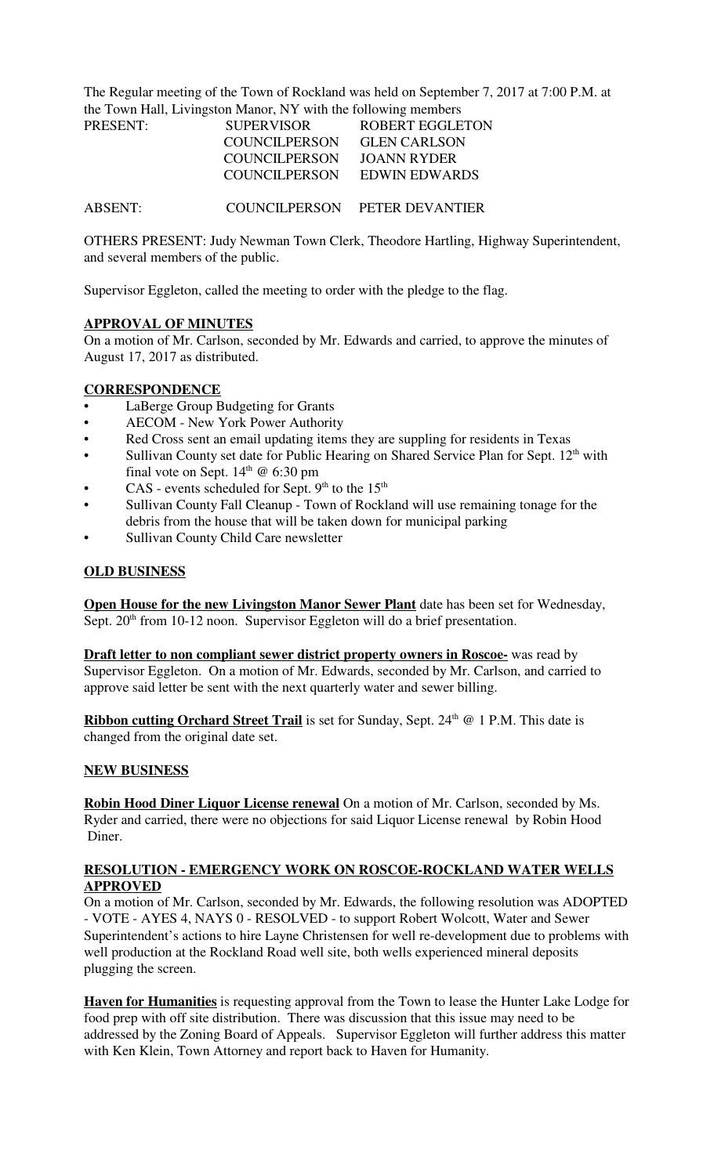The Regular meeting of the Town of Rockland was held on September 7, 2017 at 7:00 P.M. at the Town Hall, Livingston Manor, NY with the following members

| <b>PRESENT:</b> | <b>SUPERVISOR</b>    | ROBERT EGGLETON               |
|-----------------|----------------------|-------------------------------|
|                 | <b>COUNCILPERSON</b> | <b>GLEN CARLSON</b>           |
|                 | <b>COUNCILPERSON</b> | JOANN RYDER                   |
|                 | COUNCILPERSON        | EDWIN EDWARDS                 |
|                 |                      |                               |
| ABSENT:         |                      | COUNCILPERSON PETER DEVANTIER |

OTHERS PRESENT: Judy Newman Town Clerk, Theodore Hartling, Highway Superintendent, and several members of the public.

Supervisor Eggleton, called the meeting to order with the pledge to the flag.

## **APPROVAL OF MINUTES**

On a motion of Mr. Carlson, seconded by Mr. Edwards and carried, to approve the minutes of August 17, 2017 as distributed.

### **CORRESPONDENCE**

- LaBerge Group Budgeting for Grants
- AECOM New York Power Authority
- Red Cross sent an email updating items they are suppling for residents in Texas
- Sullivan County set date for Public Hearing on Shared Service Plan for Sept.  $12<sup>th</sup>$  with final vote on Sept.  $14<sup>th</sup>$  @ 6:30 pm
- CAS events scheduled for Sept.  $9<sup>th</sup>$  to the  $15<sup>th</sup>$
- Sullivan County Fall Cleanup Town of Rockland will use remaining tonage for the debris from the house that will be taken down for municipal parking
- Sullivan County Child Care newsletter

## **OLD BUSINESS**

**Open House for the new Livingston Manor Sewer Plant** date has been set for Wednesday, Sept. 20<sup>th</sup> from 10-12 noon. Supervisor Eggleton will do a brief presentation.

**Draft letter to non compliant sewer district property owners in Roscoe-** was read by Supervisor Eggleton. On a motion of Mr. Edwards, seconded by Mr. Carlson, and carried to approve said letter be sent with the next quarterly water and sewer billing.

**Ribbon cutting Orchard Street Trail** is set for Sunday, Sept. 24<sup>th</sup> @ 1 P.M. This date is changed from the original date set.

### **NEW BUSINESS**

**Robin Hood Diner Liquor License renewal** On a motion of Mr. Carlson, seconded by Ms. Ryder and carried, there were no objections for said Liquor License renewal by Robin Hood Diner.

### **RESOLUTION - EMERGENCY WORK ON ROSCOE-ROCKLAND WATER WELLS APPROVED**

On a motion of Mr. Carlson, seconded by Mr. Edwards, the following resolution was ADOPTED - VOTE - AYES 4, NAYS 0 - RESOLVED - to support Robert Wolcott, Water and Sewer Superintendent's actions to hire Layne Christensen for well re-development due to problems with well production at the Rockland Road well site, both wells experienced mineral deposits plugging the screen.

**Haven for Humanities** is requesting approval from the Town to lease the Hunter Lake Lodge for food prep with off site distribution. There was discussion that this issue may need to be addressed by the Zoning Board of Appeals. Supervisor Eggleton will further address this matter with Ken Klein, Town Attorney and report back to Haven for Humanity.